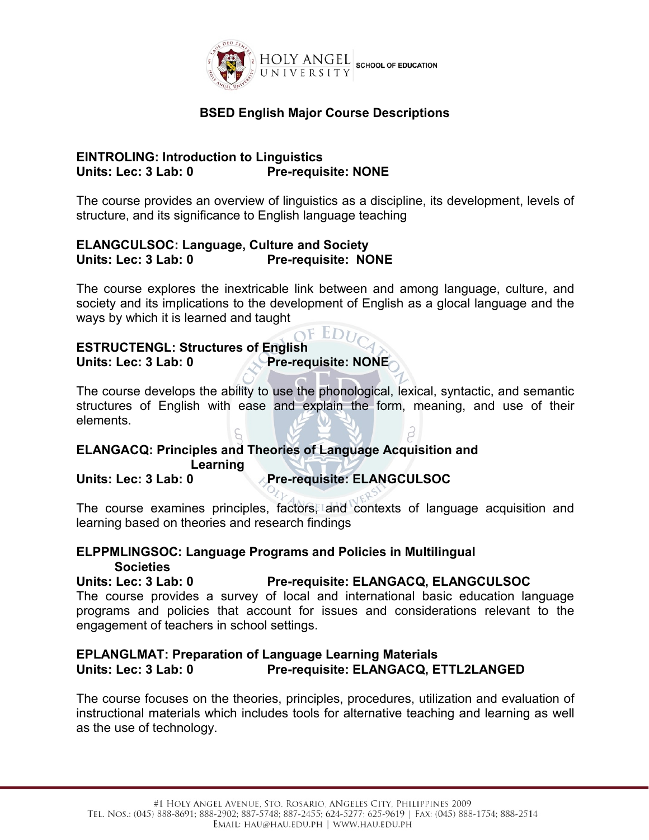

# **BSED English Major Course Descriptions**

#### **EINTROLING: Introduction to Linguistics Units: Lec: 3 Lab: 0 Pre-requisite: NONE**

The course provides an overview of linguistics as a discipline, its development, levels of structure, and its significance to English language teaching

## **ELANGCULSOC: Language, Culture and Society Units: Lec: 3 Lab: 0 Pre-requisite: NONE**

The course explores the inextricable link between and among language, culture, and society and its implications to the development of English as a glocal language and the ways by which it is learned and taught

#### $EDU$ **ESTRUCTENGL: Structures of English Units: Lec: 3 Lab: 0 Pre-requisite: NONE**

The course develops the ability to use the phonological, lexical, syntactic, and semantic structures of English with ease and explain the form, meaning, and use of their elements.

## **ELANGACQ: Principles and Theories of Language Acquisition and Learning**

## **Units: Lec: 3 Lab: 0 Pre-requisite: ELANGCULSOC**

The course examines principles, factors, and contexts of language acquisition and learning based on theories and research findings

## **ELPPMLINGSOC: Language Programs and Policies in Multilingual Societies**

**Units: Lec: 3 Lab: 0 Pre-requisite: ELANGACQ, ELANGCULSOC**

The course provides a survey of local and international basic education language programs and policies that account for issues and considerations relevant to the engagement of teachers in school settings.

#### **EPLANGLMAT: Preparation of Language Learning Materials Units: Lec: 3 Lab: 0 Pre-requisite: ELANGACQ, ETTL2LANGED**

The course focuses on the theories, principles, procedures, utilization and evaluation of instructional materials which includes tools for alternative teaching and learning as well as the use of technology.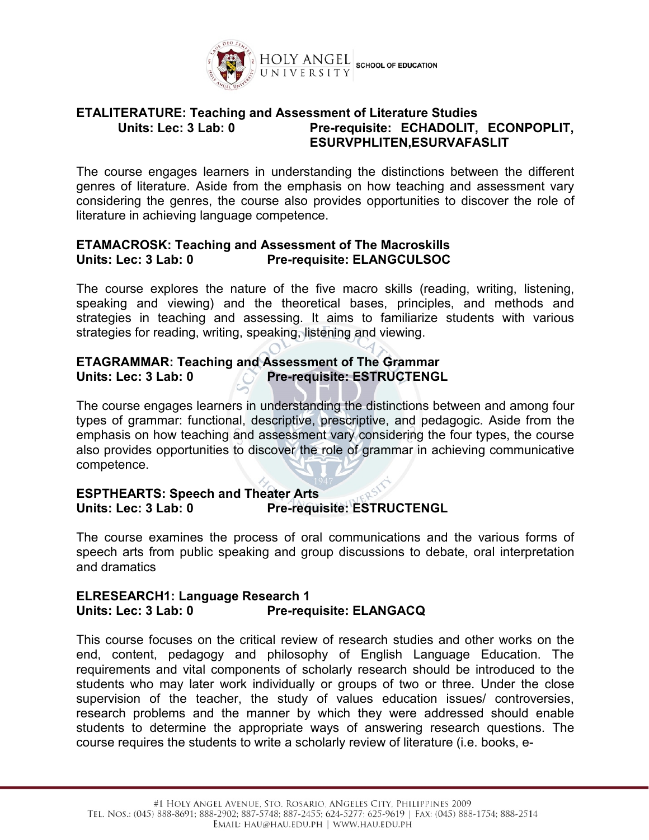

#### **ETALITERATURE: Teaching and Assessment of Literature Studies Units: Lec: 3 Lab: 0 Pre-requisite: ECHADOLIT, ECONPOPLIT, ESURVPHLITEN,ESURVAFASLIT**

The course engages learners in understanding the distinctions between the different genres of literature. Aside from the emphasis on how teaching and assessment vary considering the genres, the course also provides opportunities to discover the role of literature in achieving language competence.

## **ETAMACROSK: Teaching and Assessment of The Macroskills Units: Lec: 3 Lab: 0 Pre-requisite: ELANGCULSOC**

The course explores the nature of the five macro skills (reading, writing, listening, speaking and viewing) and the theoretical bases, principles, and methods and strategies in teaching and assessing. It aims to familiarize students with various strategies for reading, writing, speaking, listening and viewing.

## **ETAGRAMMAR: Teaching and Assessment of The Grammar Units: Lec: 3 Lab: 0 Pre-requisite: ESTRUCTENGL**

The course engages learners in understanding the distinctions between and among four types of grammar: functional, descriptive, prescriptive, and pedagogic.Aside from the emphasis on how teaching and assessment vary considering the four types, the course also provides opportunities to discover the role of grammar in achieving communicative competence.

#### **ESPTHEARTS: Speech and Theater Arts Units: Lec: 3 Lab: 0 Pre-requisite: ESTRUCTENGL**

The course examines the process of oral communications and the various forms of speech arts from public speaking and group discussions to debate, oral interpretation and dramatics

#### **ELRESEARCH1: Language Research 1 Units: Lec: 3 Lab: 0 Pre-requisite: ELANGACQ**

This course focuses on the critical review of research studies and other works on the end, content, pedagogy and philosophy of English Language Education. The requirements and vital components of scholarly research should be introduced to the students who may later work individually or groups of two or three. Under the close supervision of the teacher, the study of values education issues/ controversies, research problems and the manner by which they were addressed should enable students to determine the appropriate ways of answering research questions. The course requires the students to write a scholarly review of literature (i.e. books, e-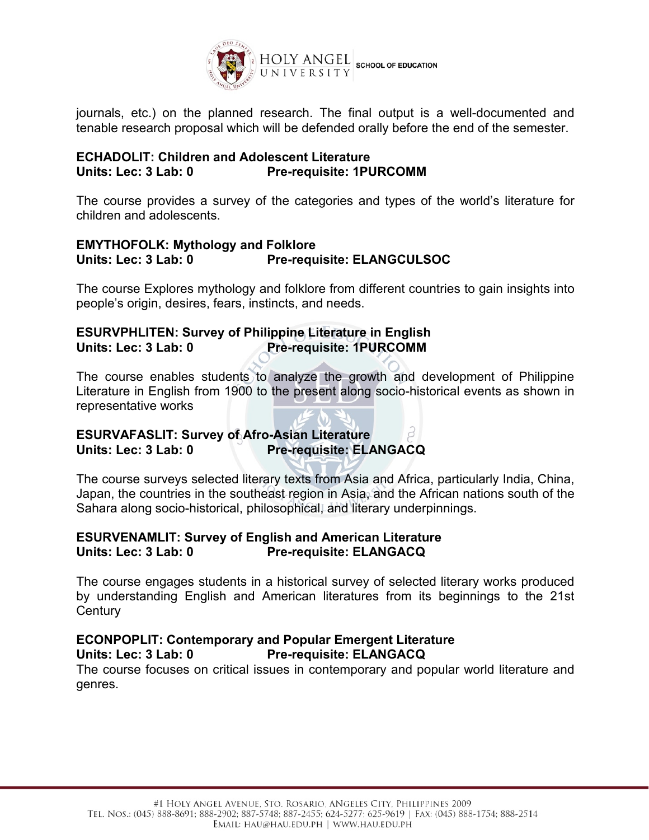

journals, etc.) on the planned research. The final output is a well-documented and tenable research proposal which will be defended orally before the end of the semester.

#### **ECHADOLIT: Children and Adolescent Literature Units: Lec: 3 Lab: 0 Pre-requisite: 1PURCOMM**

The course provides a survey of the categories and types of the world's literature for children and adolescents.

#### **EMYTHOFOLK: Mythology and Folklore Units: Lec: 3 Lab: 0 Pre-requisite: ELANGCULSOC**

The course Explores mythology and folklore from different countries to gain insights into people's origin, desires, fears, instincts, and needs.

# **ESURVPHLITEN: Survey of Philippine Literature in English Units: Lec: 3 Lab: 0 Pre-requisite: 1PURCOMM**

The course enables students to analyze the growth and development of Philippine Literature in English from 1900 to the present along socio-historical events as shown in representative works

## **ESURVAFASLIT: Survey of Afro-Asian Literature Units: Lec: 3 Lab: 0 Pre-requisite: ELANGACQ**

The course surveys selected literary texts from Asia and Africa, particularly India, China, Japan, the countries in the southeast region in Asia, and the African nations south of the Sahara along socio-historical, philosophical, and literary underpinnings.

## **ESURVENAMLIT: Survey of English and American Literature Units: Lec: 3 Lab: 0 Pre-requisite: ELANGACQ**

The course engages students in a historical survey of selected literary works produced by understanding English and American literatures from its beginnings to the 21st **Century** 

# **ECONPOPLIT: Contemporary and Popular Emergent Literature**

**Units: Lec: 3 Lab: 0 Pre-requisite: ELANGACQ**

The course focuses on critical issues in contemporary and popular world literature and genres.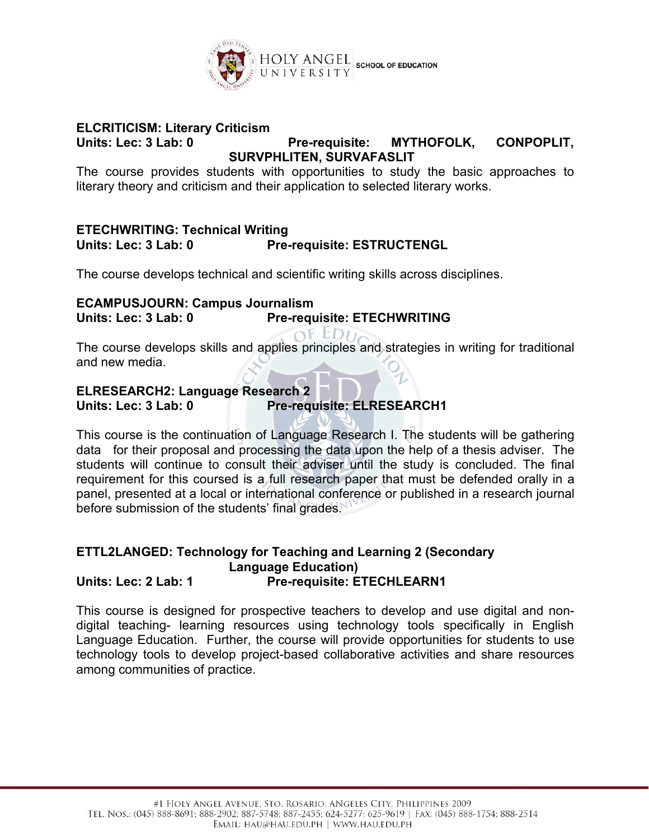

## **ELCRITICISM: Literary Criticism**

#### **Units: Lec: 3 Lab: 0 Pre-requisite: MYTHOFOLK, CONPOPLIT, SURVPHLITEN, SURVAFASLIT**

The course provides students with opportunities to study the basic approaches to literary theory and criticism and their application to selected literary works.

## **ETECHWRITING: Technical Writing**  $Pre$ -requisite: **ESTRUCTENGL**

The course develops technical and scientific writing skills across disciplines.

#### **ECAMPUSJOURN: Campus Journalism Units: Lec: 3 Lab: 0 Pre-requisite: ETECHWRITING**

 $\Omega$ EDI The course develops skills and applies principles and strategies in writing for traditional and new media.

## **ELRESEARCH2: Language Research 2 Units: Lec: 3 Lab: 0 Pre-requisite: ELRESEARCH1**

This course isthe continuation of Language Research I. The students will be gathering data for their proposal and processing the data upon the help of a thesis adviser. The students will continue to consult their adviser until the study is concluded. The final requirement for this coursed is a full research paper that must be defended orally in a panel, presented at a local or international conference or published in a research journal before submission of the students' final grades.

#### **ETTL2LANGED: Technology for Teaching and Learning 2 (Secondary Language Education) Units: Lec: 2 Lab: 1 Pre-requisite: ETECHLEARN1**

This course is designed for prospective teachers to develop and use digital and nondigital teaching- learning resources using technology tools specifically in English Language Education. Further, the course will provide opportunities for students to use technology tools to develop project-based collaborative activities and share resources among communities of practice.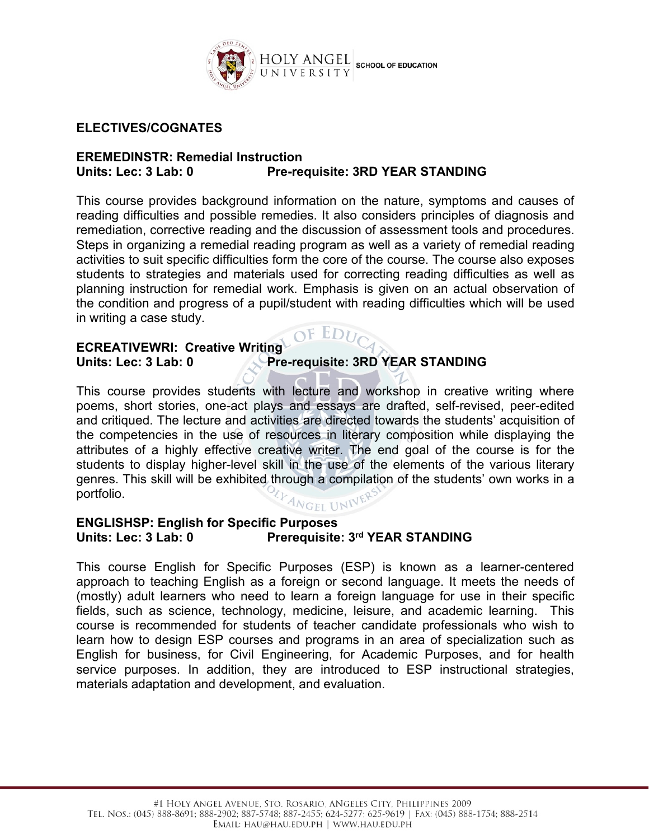

#### **ELECTIVES/COGNATES**

#### **EREMEDINSTR: Remedial Instruction Units: Lec: 3 Lab: 0 Pre-requisite: 3RD YEAR STANDING**

This course provides background information on the nature, symptoms and causes of reading difficulties and possible remedies. It also considers principles of diagnosis and remediation, corrective reading and the discussion of assessment tools and procedures. Steps in organizing a remedial reading program as well as a variety of remedial reading activities to suit specific difficulties form the core of the course. The course also exposes students to strategies and materials used for correcting reading difficulties as well as planning instruction for remedial work. Emphasis is given on an actual observation of the condition and progress of a pupil/student with reading difficulties which will be used in writing a case study.

 $EDU$ 

# **ECREATIVEWRI: Creative Writing Units: Lec: 3 Lab: 0 Pre-requisite: 3RD YEAR STANDING**

This course provides students with lecture and workshop in creative writing where poems, short stories, one-act plays and essays are drafted, self-revised, peer-edited and critiqued. The lecture and activities are directed towards the students' acquisition of the competencies in the use of resources in literary composition while displaying the attributes of a highly effective creative writer. The end goal of the course is for the students to display higher-level skill in the use of the elements of the various literary genres. This skill will be exhibited through a compilation of the students' own works in a portfolio. ANGEL UNIT

#### **ENGLISHSP: English for Specific Purposes Units: Lec: 3 Lab: 0 Prerequisite: 3 rd YEAR STANDING**

This course English for Specific Purposes (ESP) is known as a learner-centered approach to teaching English as a foreign or second language. It meets the needs of (mostly) adult learners who need to learn a foreign language for use in their specific fields, such as science, technology, medicine, leisure, and academic learning. This course is recommended for students of teacher candidate professionals who wish to learn how to design ESP courses and programs in an area of specialization such as English for business, for Civil Engineering, for Academic Purposes, and for health service purposes. In addition, they are introduced to ESP instructional strategies, materials adaptation and development, and evaluation.